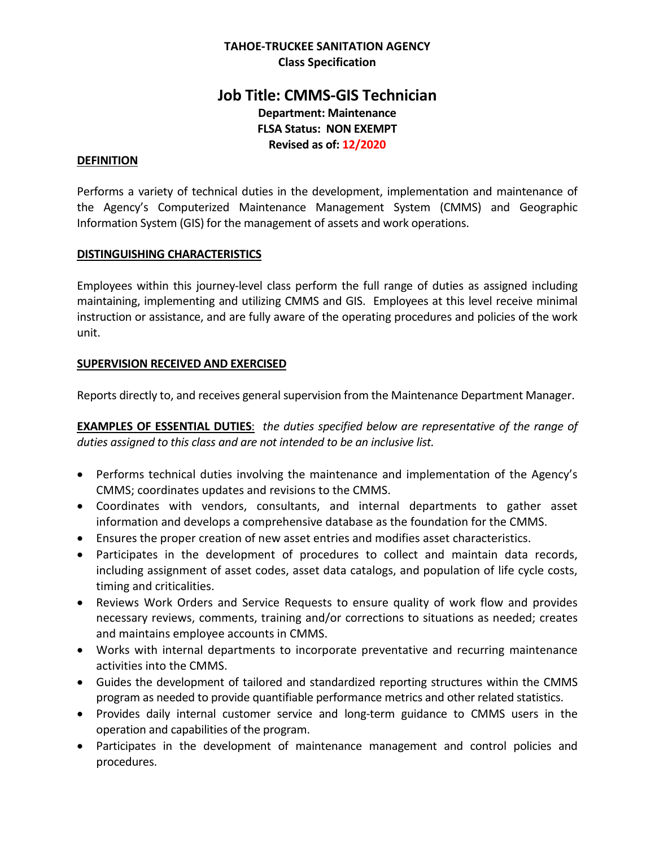## **TAHOE-TRUCKEE SANITATION AGENCY Class Specification**

# **Job Title: CMMS-GIS Technician Department: Maintenance FLSA Status: NON EXEMPT Revised as of: 12/2020**

#### **DEFINITION**

Performs a variety of technical duties in the development, implementation and maintenance of the Agency's Computerized Maintenance Management System (CMMS) and Geographic Information System (GIS) for the management of assets and work operations.

### **DISTINGUISHING CHARACTERISTICS**

Employees within this journey-level class perform the full range of duties as assigned including maintaining, implementing and utilizing CMMS and GIS. Employees at this level receive minimal instruction or assistance, and are fully aware of the operating procedures and policies of the work unit.

### **SUPERVISION RECEIVED AND EXERCISED**

Reports directly to, and receives general supervision from the Maintenance Department Manager.

**EXAMPLES OF ESSENTIAL DUTIES**: *the duties specified below are representative of the range of duties assigned to this class and are not intended to be an inclusive list.* 

- Performs technical duties involving the maintenance and implementation of the Agency's CMMS; coordinates updates and revisions to the CMMS.
- Coordinates with vendors, consultants, and internal departments to gather asset information and develops a comprehensive database as the foundation for the CMMS.
- Ensures the proper creation of new asset entries and modifies asset characteristics.
- Participates in the development of procedures to collect and maintain data records, including assignment of asset codes, asset data catalogs, and population of life cycle costs, timing and criticalities.
- Reviews Work Orders and Service Requests to ensure quality of work flow and provides necessary reviews, comments, training and/or corrections to situations as needed; creates and maintains employee accounts in CMMS.
- Works with internal departments to incorporate preventative and recurring maintenance activities into the CMMS.
- Guides the development of tailored and standardized reporting structures within the CMMS program as needed to provide quantifiable performance metrics and other related statistics.
- Provides daily internal customer service and long-term guidance to CMMS users in the operation and capabilities of the program.
- Participates in the development of maintenance management and control policies and procedures.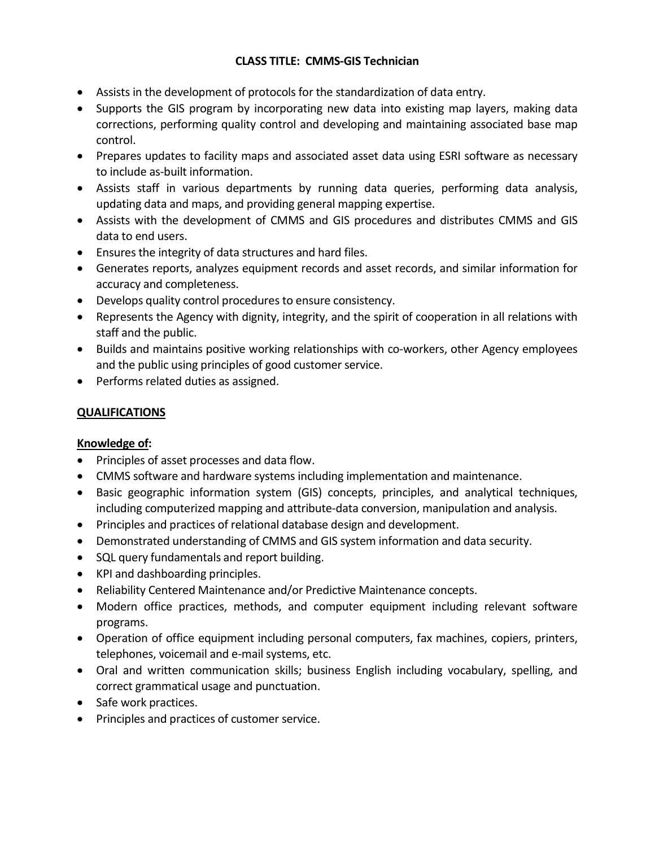# **CLASS TITLE: CMMS-GIS Technician**

- Assists in the development of protocols for the standardization of data entry.
- Supports the GIS program by incorporating new data into existing map layers, making data corrections, performing quality control and developing and maintaining associated base map control.
- Prepares updates to facility maps and associated asset data using ESRI software as necessary to include as-built information.
- Assists staff in various departments by running data queries, performing data analysis, updating data and maps, and providing general mapping expertise.
- Assists with the development of CMMS and GIS procedures and distributes CMMS and GIS data to end users.
- Ensures the integrity of data structures and hard files.
- Generates reports, analyzes equipment records and asset records, and similar information for accuracy and completeness.
- Develops quality control procedures to ensure consistency.
- Represents the Agency with dignity, integrity, and the spirit of cooperation in all relations with staff and the public.
- Builds and maintains positive working relationships with co-workers, other Agency employees and the public using principles of good customer service.
- Performs related duties as assigned.

# **QUALIFICATIONS**

# **Knowledge of:**

- Principles of asset processes and data flow.
- CMMS software and hardware systems including implementation and maintenance.
- Basic geographic information system (GIS) concepts, principles, and analytical techniques, including computerized mapping and attribute-data conversion, manipulation and analysis.
- Principles and practices of relational database design and development.
- Demonstrated understanding of CMMS and GIS system information and data security.
- SQL query fundamentals and report building.
- KPI and dashboarding principles.
- Reliability Centered Maintenance and/or Predictive Maintenance concepts.
- Modern office practices, methods, and computer equipment including relevant software programs.
- Operation of office equipment including personal computers, fax machines, copiers, printers, telephones, voicemail and e-mail systems, etc.
- Oral and written communication skills; business English including vocabulary, spelling, and correct grammatical usage and punctuation.
- Safe work practices.
- Principles and practices of customer service.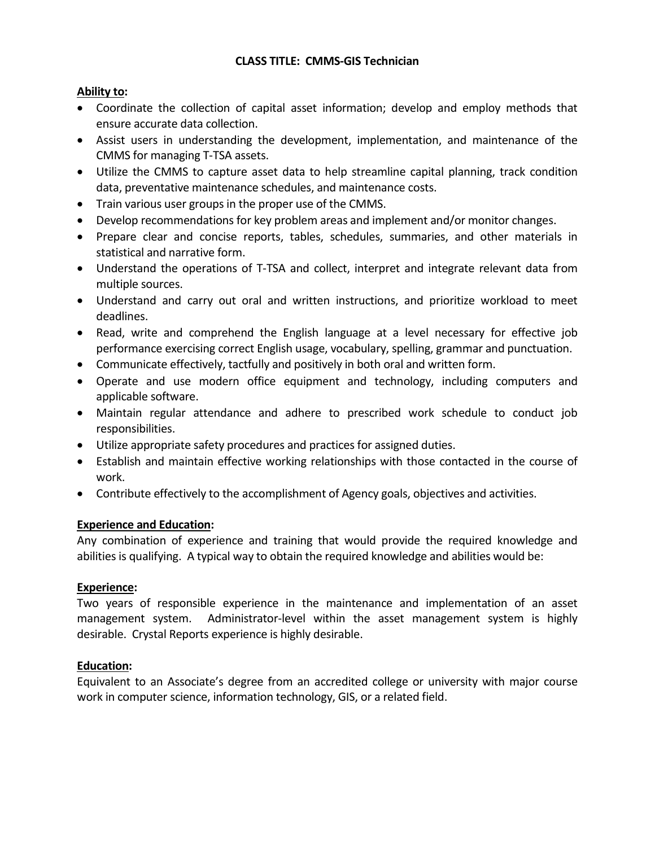# **CLASS TITLE: CMMS-GIS Technician**

# **Ability to:**

- Coordinate the collection of capital asset information; develop and employ methods that ensure accurate data collection.
- Assist users in understanding the development, implementation, and maintenance of the CMMS for managing T-TSA assets.
- Utilize the CMMS to capture asset data to help streamline capital planning, track condition data, preventative maintenance schedules, and maintenance costs.
- Train various user groups in the proper use of the CMMS.
- Develop recommendations for key problem areas and implement and/or monitor changes.
- Prepare clear and concise reports, tables, schedules, summaries, and other materials in statistical and narrative form.
- Understand the operations of T-TSA and collect, interpret and integrate relevant data from multiple sources.
- Understand and carry out oral and written instructions, and prioritize workload to meet deadlines.
- Read, write and comprehend the English language at a level necessary for effective job performance exercising correct English usage, vocabulary, spelling, grammar and punctuation.
- Communicate effectively, tactfully and positively in both oral and written form.
- Operate and use modern office equipment and technology, including computers and applicable software.
- Maintain regular attendance and adhere to prescribed work schedule to conduct job responsibilities.
- Utilize appropriate safety procedures and practices for assigned duties.
- Establish and maintain effective working relationships with those contacted in the course of work.
- Contribute effectively to the accomplishment of Agency goals, objectives and activities.

### **Experience and Education:**

Any combination of experience and training that would provide the required knowledge and abilities is qualifying. A typical way to obtain the required knowledge and abilities would be:

### **Experience:**

Two years of responsible experience in the maintenance and implementation of an asset management system. Administrator-level within the asset management system is highly desirable. Crystal Reports experience is highly desirable.

### **Education:**

Equivalent to an Associate's degree from an accredited college or university with major course work in computer science, information technology, GIS, or a related field.